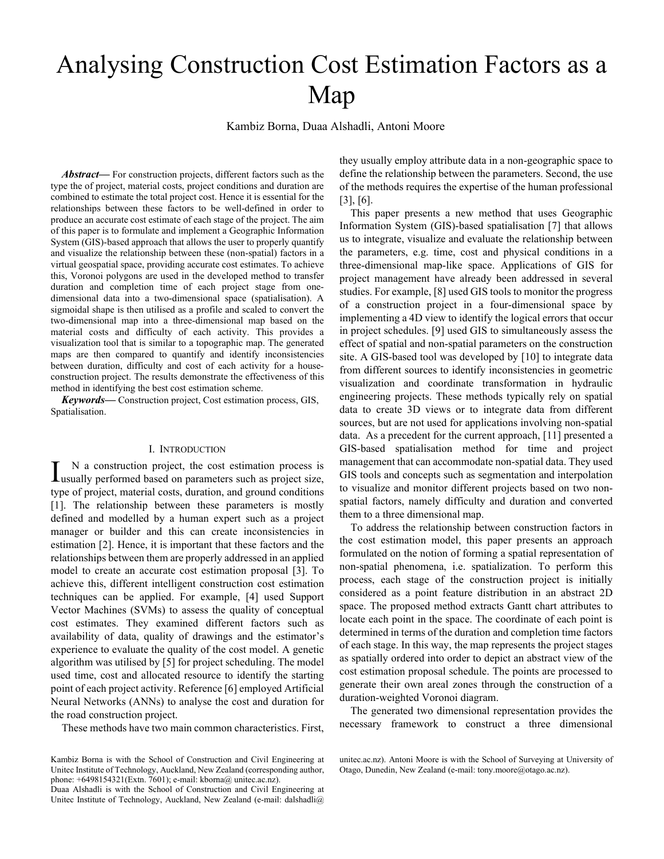# Analysing Construction Cost Estimation Factors as a Map

Kambiz Borna, Duaa Alshadli, Antoni Moore

*Abstract***—** For construction projects, different factors such as the type the of project, material costs, project conditions and duration are combined to estimate the total project cost. Hence it is essential for the relationships between these factors to be well-defined in order to produce an accurate cost estimate of each stage of the project. The aim of this paper is to formulate and implement a Geographic Information System (GIS)-based approach that allows the user to properly quantify and visualize the relationship between these (non-spatial) factors in a virtual geospatial space, providing accurate cost estimates. To achieve this, Voronoi polygons are used in the developed method to transfer duration and completion time of each project stage from onedimensional data into a two-dimensional space (spatialisation). A sigmoidal shape is then utilised as a profile and scaled to convert the two-dimensional map into a three-dimensional map based on the material costs and difficulty of each activity. This provides a visualization tool that is similar to a topographic map. The generated maps are then compared to quantify and identify inconsistencies between duration, difficulty and cost of each activity for a houseconstruction project. The results demonstrate the effectiveness of this method in identifying the best cost estimation scheme.

*Keywords***—** Construction project, Cost estimation process, GIS, Spatialisation.

## I. INTRODUCTION

N a construction project, the cost estimation process is I N a construction project, the cost estimation process is usually performed based on parameters such as project size, type of project, material costs, duration, and ground conditions [1]. The relationship between these parameters is mostly defined and modelled by a human expert such as a project manager or builder and this can create inconsistencies in estimation [2]. Hence, it is important that these factors and the relationships between them are properly addressed in an applied model to create an accurate cost estimation proposal [3]. To achieve this, different intelligent construction cost estimation techniques can be applied. For example, [4] used Support Vector Machines (SVMs) to assess the quality of conceptual cost estimates. They examined different factors such as availability of data, quality of drawings and the estimator's experience to evaluate the quality of the cost model. A genetic algorithm was utilised by [5] for project scheduling. The model used time, cost and allocated resource to identify the starting point of each project activity. Reference [6] employed Artificial Neural Networks (ANNs) to analyse the cost and duration for the road construction project.

These methods have two main common characteristics. First,

Kambiz Borna is with the School of Construction and Civil Engineering at Unitec Institute of Technology, Auckland, New Zealand (corresponding author, phone: +6498154321(Extn. 7601); e-mail: kborna@ unitec.ac.nz).

Duaa Alshadli is with the School of Construction and Civil Engineering at Unitec Institute of Technology, Auckland, New Zealand (e-mail: dalshadli@

they usually employ attribute data in a non-geographic space to define the relationship between the parameters. Second, the use of the methods requires the expertise of the human professional [3], [6].

This paper presents a new method that uses Geographic Information System (GIS)-based spatialisation [7] that allows us to integrate, visualize and evaluate the relationship between the parameters, e.g. time, cost and physical conditions in a three-dimensional map-like space. Applications of GIS for project management have already been addressed in several studies. For example, [8] used GIS tools to monitor the progress of a construction project in a four-dimensional space by implementing a 4D view to identify the logical errors that occur in project schedules. [9] used GIS to simultaneously assess the effect of spatial and non-spatial parameters on the construction site. A GIS-based tool was developed by [10] to integrate data from different sources to identify inconsistencies in geometric visualization and coordinate transformation in hydraulic engineering projects. These methods typically rely on spatial data to create 3D views or to integrate data from different sources, but are not used for applications involving non-spatial data. As a precedent for the current approach, [11] presented a GIS-based spatialisation method for time and project management that can accommodate non-spatial data. They used GIS tools and concepts such as segmentation and interpolation to visualize and monitor different projects based on two nonspatial factors, namely difficulty and duration and converted them to a three dimensional map.

To address the relationship between construction factors in the cost estimation model, this paper presents an approach formulated on the notion of forming a spatial representation of non-spatial phenomena, i.e. spatialization. To perform this process, each stage of the construction project is initially considered as a point feature distribution in an abstract 2D space. The proposed method extracts Gantt chart attributes to locate each point in the space. The coordinate of each point is determined in terms of the duration and completion time factors of each stage. In this way, the map represents the project stages as spatially ordered into order to depict an abstract view of the cost estimation proposal schedule. The points are processed to generate their own areal zones through the construction of a duration-weighted Voronoi diagram.

The generated two dimensional representation provides the necessary framework to construct a three dimensional

unitec.ac.nz). Antoni Moore is with the School of Surveying at University of Otago, Dunedin, New Zealand (e-mail: tony.moore@otago.ac.nz).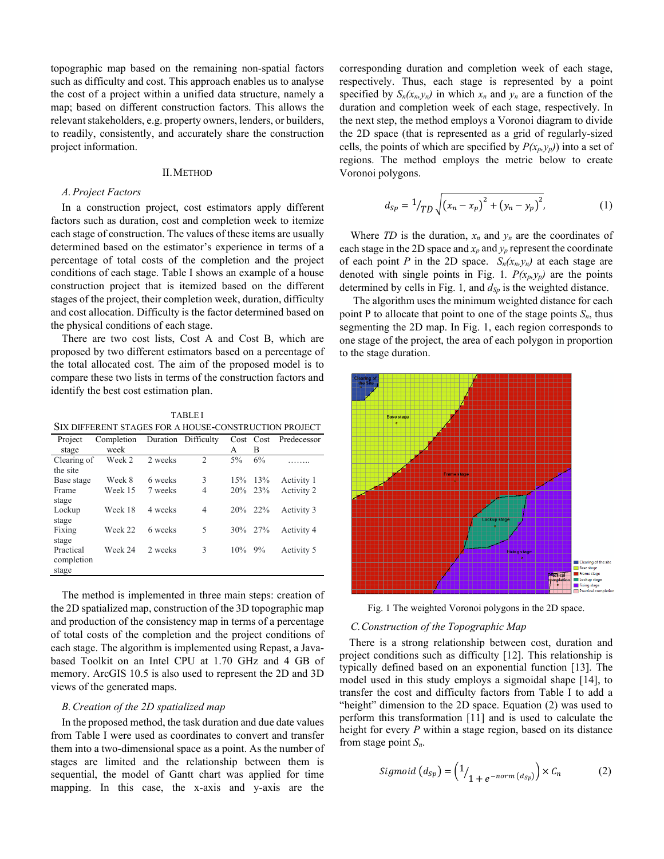topographic map based on the remaining non-spatial factors such as difficulty and cost. This approach enables us to analyse the cost of a project within a unified data structure, namely a map; based on different construction factors. This allows the relevant stakeholders, e.g. property owners, lenders, or builders, to readily, consistently, and accurately share the construction project information.

## II.METHOD

## *A.Project Factors*

In a construction project, cost estimators apply different factors such as duration, cost and completion week to itemize each stage of construction. The values of these items are usually determined based on the estimator's experience in terms of a percentage of total costs of the completion and the project conditions of each stage. Table I shows an example of a house construction project that is itemized based on the different stages of the project, their completion week, duration, difficulty and cost allocation. Difficulty is the factor determined based on the physical conditions of each stage.

There are two cost lists, Cost A and Cost B, which are proposed by two different estimators based on a percentage of the total allocated cost. The aim of the proposed model is to compare these two lists in terms of the construction factors and identify the best cost estimation plan.

TABLE I SIX DIFFERENT STAGES FOR A HOUSE-CONSTRUCTION PROJECT

| 91A DIFFENTINT STAVIES FON A HOUSE-CONSTNUCTION FIVOLCT |            |         |                     |           |           |             |
|---------------------------------------------------------|------------|---------|---------------------|-----------|-----------|-------------|
| Project                                                 | Completion |         | Duration Difficulty |           | Cost Cost | Predecessor |
| stage                                                   | week       |         |                     | A         | B         |             |
| Clearing of                                             | Week 2     | 2 weeks | 2                   | $5\%$     | 6%        |             |
| the site                                                |            |         |                     |           |           |             |
| Base stage                                              | Week 8     | 6 weeks | 3                   | 15%       | 13%       | Activity 1  |
| Frame                                                   | Week 15    | 7 weeks | $\overline{4}$      |           | 20\% 23\% | Activity 2  |
| stage                                                   |            |         |                     |           |           |             |
| Lockup                                                  | Week 18    | 4 weeks | $\overline{4}$      |           | 20\% 22\% | Activity 3  |
| stage                                                   |            |         |                     |           |           |             |
| Fixing                                                  | Week 22    | 6 weeks | 5                   |           | 30\% 27\% | Activity 4  |
| stage                                                   |            |         |                     |           |           |             |
| Practical                                               | Week 24    | 2 weeks | 3                   | $10\%$ 9% |           | Activity 5  |
| completion                                              |            |         |                     |           |           |             |
| stage                                                   |            |         |                     |           |           |             |
|                                                         |            |         |                     |           |           |             |

The method is implemented in three main steps: creation of the 2D spatialized map, construction of the 3D topographic map and production of the consistency map in terms of a percentage of total costs of the completion and the project conditions of each stage. The algorithm is implemented using Repast, a Javabased Toolkit on an Intel CPU at 1.70 GHz and 4 GB of memory. ArcGIS 10.5 is also used to represent the 2D and 3D views of the generated maps.

## *B.Creation of the 2D spatialized map*

In the proposed method, the task duration and due date values from Table I were used as coordinates to convert and transfer them into a two-dimensional space as a point. As the number of stages are limited and the relationship between them is sequential, the model of Gantt chart was applied for time mapping. In this case, the x-axis and y-axis are the

corresponding duration and completion week of each stage, respectively. Thus, each stage is represented by a point specified by  $S_n(x_n, y_n)$  in which  $x_n$  and  $y_n$  are a function of the duration and completion week of each stage, respectively. In the next step, the method employs a Voronoi diagram to divide the 2D space (that is represented as a grid of regularly-sized cells, the points of which are specified by  $P(x_p, y_p)$  into a set of regions. The method employs the metric below to create Voronoi polygons.

$$
d_{Sp} = \frac{1}{T_D} \sqrt{(x_n - x_p)^2 + (y_n - y_p)^2},
$$
 (1)

Where *TD* is the duration,  $x_n$  and  $y_n$  are the coordinates of each stage in the 2D space and  $x_p$  and  $y_p$  represent the coordinate of each point *P* in the 2D space.  $S_n(x_n, y_n)$  at each stage are denoted with single points in Fig. 1*.*  $P(x_p, y_p)$  are the points determined by cells in Fig. 1*,* and *dSp* is the weighted distance.

The algorithm uses the minimum weighted distance for each point P to allocate that point to one of the stage points  $S_n$ , thus segmenting the 2D map. In Fig. 1, each region corresponds to one stage of the project, the area of each polygon in proportion to the stage duration.



Fig. 1 The weighted Voronoi polygons in the 2D space.

## *C.Construction of the Topographic Map*

There is a strong relationship between cost, duration and project conditions such as difficulty [12]. This relationship is typically defined based on an exponential function [13]. The model used in this study employs a sigmoidal shape [14], to transfer the cost and difficulty factors from Table I to add a "height" dimension to the 2D space. Equation (2) was used to perform this transformation [11] and is used to calculate the height for every *P* within a stage region, based on its distance from stage point *Sn*.

$$
Sigmoid (d_{Sp}) = \left( \frac{1}{1 + e^{-norm(d_{Sp})}} \right) \times C_n \tag{2}
$$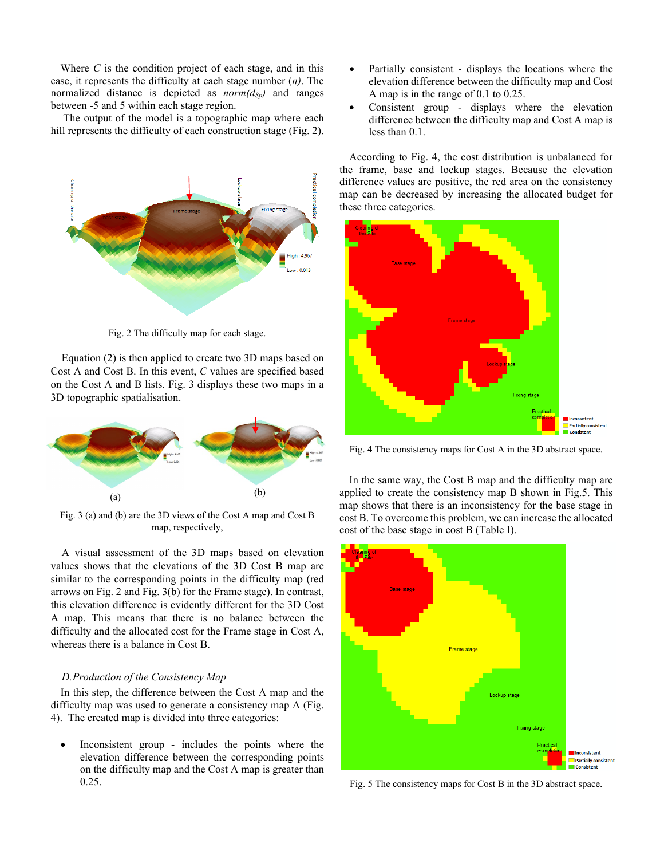Where *C* is the condition project of each stage, and in this case, it represents the difficulty at each stage number (*n)*. The normalized distance is depicted as  $norm(d_{Sp})$  and ranges between -5 and 5 within each stage region.

The output of the model is a topographic map where each hill represents the difficulty of each construction stage (Fig. 2).



Fig. 2 The difficulty map for each stage.

Equation (2) is then applied to create two 3D maps based on Cost A and Cost B. In this event, *C* values are specified based on the Cost A and B lists. Fig. 3 displays these two maps in a 3D topographic spatialisation.



Fig. 3 (a) and (b) are the 3D views of the Cost A map and Cost B map, respectively,

A visual assessment of the 3D maps based on elevation values shows that the elevations of the 3D Cost B map are similar to the corresponding points in the difficulty map (red arrows on Fig. 2 and Fig. 3(b) for the Frame stage). In contrast, this elevation difference is evidently different for the 3D Cost A map. This means that there is no balance between the difficulty and the allocated cost for the Frame stage in Cost A, whereas there is a balance in Cost B.

## *D.Production of the Consistency Map*

In this step, the difference between the Cost A map and the difficulty map was used to generate a consistency map A (Fig. 4). The created map is divided into three categories:

• Inconsistent group - includes the points where the elevation difference between the corresponding points on the difficulty map and the Cost A map is greater than 0.25.

- Partially consistent displays the locations where the elevation difference between the difficulty map and Cost A map is in the range of 0.1 to 0.25.
- Consistent group displays where the elevation difference between the difficulty map and Cost A map is less than 0.1.

According to Fig. 4, the cost distribution is unbalanced for the frame, base and lockup stages. Because the elevation difference values are positive, the red area on the consistency map can be decreased by increasing the allocated budget for these three categories.



Fig. 4 The consistency maps for Cost A in the 3D abstract space.

In the same way, the Cost B map and the difficulty map are applied to create the consistency map B shown in Fig.5. This map shows that there is an inconsistency for the base stage in cost B. To overcome this problem, we can increase the allocated cost of the base stage in cost B (Table I).



Fig. 5 The consistency maps for Cost B in the 3D abstract space.